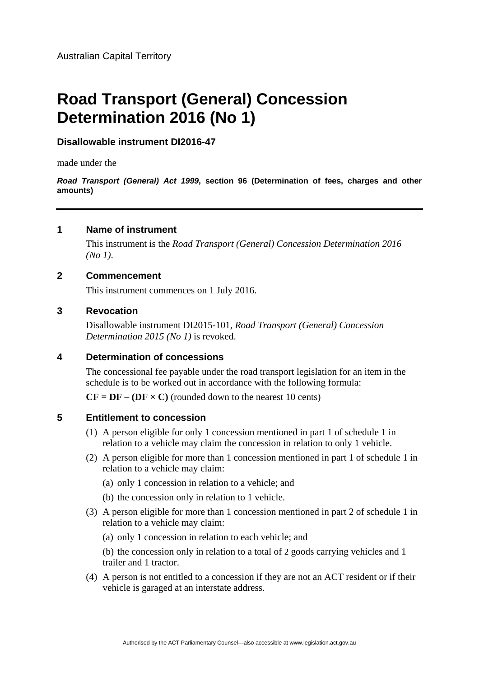# **Road Transport (General) Concession Determination 2016 (No 1)**

## **Disallowable instrument DI2016-47**

made under the

*Road Transport (General) Act 1999***, section 96 (Determination of fees, charges and other amounts)**

## **1 Name of instrument**

This instrument is the *Road Transport (General) Concession Determination 2016 (No 1)*.

## **2 Commencement**

This instrument commences on 1 July 2016.

## **3 Revocation**

Disallowable instrument DI2015-101, *Road Transport (General) Concession Determination 2015 (No 1)* is revoked.

## **4 Determination of concessions**

The concessional fee payable under the road transport legislation for an item in the schedule is to be worked out in accordance with the following formula:

 $CF = DF - (DF \times C)$  (rounded down to the nearest 10 cents)

#### **5 Entitlement to concession**

- (1) A person eligible for only 1 concession mentioned in part 1 of schedule 1 in relation to a vehicle may claim the concession in relation to only 1 vehicle.
- (2) A person eligible for more than 1 concession mentioned in part 1 of schedule 1 in relation to a vehicle may claim:
	- (a) only 1 concession in relation to a vehicle; and
	- (b) the concession only in relation to 1 vehicle.
- (3) A person eligible for more than 1 concession mentioned in part 2 of schedule 1 in relation to a vehicle may claim:

(a) only 1 concession in relation to each vehicle; and

 (b) the concession only in relation to a total of 2 goods carrying vehicles and 1 trailer and 1 tractor.

(4) A person is not entitled to a concession if they are not an ACT resident or if their vehicle is garaged at an interstate address.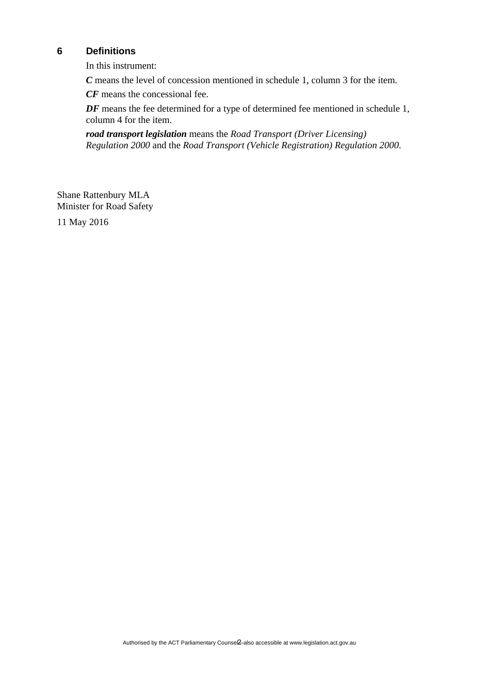# **6 Definitions**

In this instrument:

*C* means the level of concession mentioned in schedule 1, column 3 for the item.

*CF* means the concessional fee.

*DF* means the fee determined for a type of determined fee mentioned in schedule 1, column 4 for the item.

*road transport legislation* means the *Road Transport (Driver Licensing) Regulation 2000* and the *Road Transport (Vehicle Registration) Regulation 2000*.

Shane Rattenbury MLA Minister for Road Safety

11 May 2016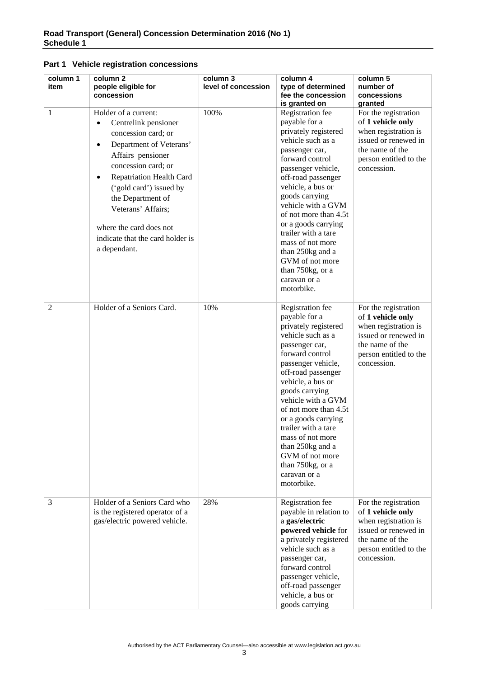| Part 1 Vehicle registration concessions |  |
|-----------------------------------------|--|
|-----------------------------------------|--|

| column 1<br>item | column 2<br>people eligible for<br>concession                                                                                                                                                                                                                                                                                                                             | column 3<br>level of concession | column 4<br>type of determined<br>fee the concession<br>is granted on                                                                                                                                                                                                                                                                                                                                            | column 5<br>number of<br>concessions<br>granted                                                                                                       |
|------------------|---------------------------------------------------------------------------------------------------------------------------------------------------------------------------------------------------------------------------------------------------------------------------------------------------------------------------------------------------------------------------|---------------------------------|------------------------------------------------------------------------------------------------------------------------------------------------------------------------------------------------------------------------------------------------------------------------------------------------------------------------------------------------------------------------------------------------------------------|-------------------------------------------------------------------------------------------------------------------------------------------------------|
| 1                | Holder of a current:<br>Centrelink pensioner<br>$\bullet$<br>concession card; or<br>Department of Veterans'<br>$\bullet$<br>Affairs pensioner<br>concession card; or<br><b>Repatriation Health Card</b><br>$\bullet$<br>('gold card') issued by<br>the Department of<br>Veterans' Affairs;<br>where the card does not<br>indicate that the card holder is<br>a dependant. | 100%                            | Registration fee<br>payable for a<br>privately registered<br>vehicle such as a<br>passenger car,<br>forward control<br>passenger vehicle,<br>off-road passenger<br>vehicle, a bus or<br>goods carrying<br>vehicle with a GVM<br>of not more than 4.5t<br>or a goods carrying<br>trailer with a tare<br>mass of not more<br>than 250kg and a<br>GVM of not more<br>than 750kg, or a<br>caravan or a<br>motorbike. | For the registration<br>of 1 vehicle only<br>when registration is<br>issued or renewed in<br>the name of the<br>person entitled to the<br>concession. |
| $\overline{2}$   | Holder of a Seniors Card.                                                                                                                                                                                                                                                                                                                                                 | 10%                             | Registration fee<br>payable for a<br>privately registered<br>vehicle such as a<br>passenger car,<br>forward control<br>passenger vehicle,<br>off-road passenger<br>vehicle, a bus or<br>goods carrying<br>vehicle with a GVM<br>of not more than 4.5t<br>or a goods carrying<br>trailer with a tare<br>mass of not more<br>than 250kg and a<br>GVM of not more<br>than 750kg, or a<br>caravan or a<br>motorbike. | For the registration<br>of 1 vehicle only<br>when registration is<br>issued or renewed in<br>the name of the<br>person entitled to the<br>concession. |
| 3                | Holder of a Seniors Card who<br>is the registered operator of a<br>gas/electric powered vehicle.                                                                                                                                                                                                                                                                          | 28%                             | Registration fee<br>payable in relation to<br>a gas/electric<br>powered vehicle for<br>a privately registered<br>vehicle such as a<br>passenger car,<br>forward control<br>passenger vehicle,<br>off-road passenger<br>vehicle, a bus or<br>goods carrying                                                                                                                                                       | For the registration<br>of 1 vehicle only<br>when registration is<br>issued or renewed in<br>the name of the<br>person entitled to the<br>concession. |

Authorised by the ACT Parliamentary Counsel—also accessible at www.legislation.act.gov.au 3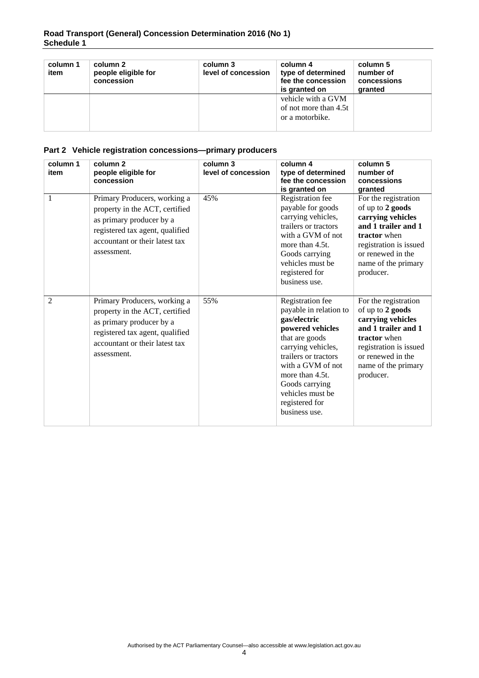| column 1<br>item | column 2<br>people eligible for<br>concession | column 3<br>level of concession | column 4<br>type of determined<br>fee the concession<br>is granted on | column 5<br>number of<br>concessions<br>granted |
|------------------|-----------------------------------------------|---------------------------------|-----------------------------------------------------------------------|-------------------------------------------------|
|                  |                                               |                                 | vehicle with a GVM<br>of not more than 4.5t<br>or a motorbike.        |                                                 |

#### **Part 2 Vehicle registration concessions—primary producers**

| column 1<br>item | column <sub>2</sub><br>people eligible for<br>concession                                                                                                                       | column 3<br>level of concession | column 4<br>type of determined<br>fee the concession<br>is granted on                                                                                                                                                                                           | column 5<br>number of<br>concessions<br>granted                                                                                                                                         |
|------------------|--------------------------------------------------------------------------------------------------------------------------------------------------------------------------------|---------------------------------|-----------------------------------------------------------------------------------------------------------------------------------------------------------------------------------------------------------------------------------------------------------------|-----------------------------------------------------------------------------------------------------------------------------------------------------------------------------------------|
| 1                | Primary Producers, working a<br>property in the ACT, certified<br>as primary producer by a<br>registered tax agent, qualified<br>accountant or their latest tax<br>assessment. | 45%                             | Registration fee<br>payable for goods<br>carrying vehicles,<br>trailers or tractors<br>with a GVM of not<br>more than 4.5t.<br>Goods carrying<br>vehicles must be<br>registered for<br>business use.                                                            | For the registration<br>of up to 2 goods<br>carrying vehicles<br>and 1 trailer and 1<br>tractor when<br>registration is issued<br>or renewed in the<br>name of the primary<br>producer. |
| $\overline{2}$   | Primary Producers, working a<br>property in the ACT, certified<br>as primary producer by a<br>registered tax agent, qualified<br>accountant or their latest tax<br>assessment. | 55%                             | Registration fee<br>payable in relation to<br>gas/electric<br>powered vehicles<br>that are goods<br>carrying vehicles,<br>trailers or tractors<br>with a GVM of not<br>more than 4.5t.<br>Goods carrying<br>vehicles must be<br>registered for<br>business use. | For the registration<br>of up to 2 goods<br>carrying vehicles<br>and 1 trailer and 1<br>tractor when<br>registration is issued<br>or renewed in the<br>name of the primary<br>producer. |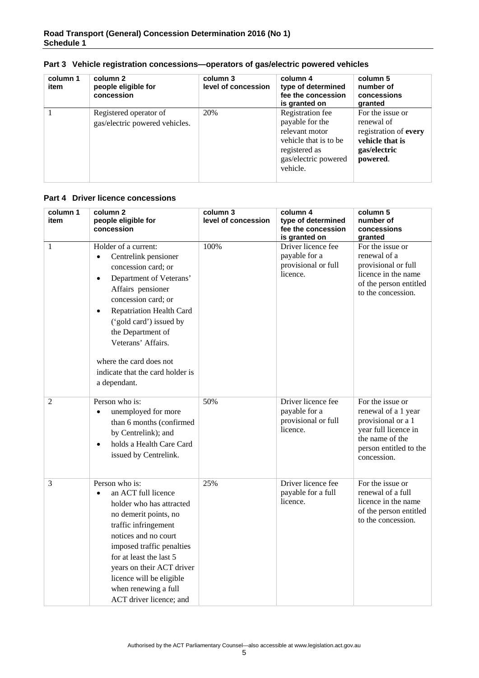| column 1<br>item | column 2<br>people eligible for<br>concession            | column 3<br>level of concession | column 4<br>type of determined<br>fee the concession<br>is granted on                                                               | column 5<br>number of<br>concessions<br>granted                                                        |
|------------------|----------------------------------------------------------|---------------------------------|-------------------------------------------------------------------------------------------------------------------------------------|--------------------------------------------------------------------------------------------------------|
|                  | Registered operator of<br>gas/electric powered vehicles. | 20%                             | Registration fee<br>payable for the<br>relevant motor<br>vehicle that is to be<br>registered as<br>gas/electric powered<br>vehicle. | For the issue or<br>renewal of<br>registration of every<br>vehicle that is<br>gas/electric<br>powered. |

#### **Part 3 Vehicle registration concessions—operators of gas/electric powered vehicles**

#### **Part 4 Driver licence concessions**

| column 1<br>item | column 2<br>people eligible for<br>concession                                                                                                                                                                                                                                                                                                                             | column 3<br>level of concession | column 4<br>type of determined<br>fee the concession<br>is granted on  | column 5<br>number of<br>concessions<br>granted                                                                                                   |
|------------------|---------------------------------------------------------------------------------------------------------------------------------------------------------------------------------------------------------------------------------------------------------------------------------------------------------------------------------------------------------------------------|---------------------------------|------------------------------------------------------------------------|---------------------------------------------------------------------------------------------------------------------------------------------------|
| 1                | Holder of a current:<br>Centrelink pensioner<br>$\bullet$<br>concession card; or<br>Department of Veterans'<br>$\bullet$<br>Affairs pensioner<br>concession card; or<br><b>Repatriation Health Card</b><br>$\bullet$<br>('gold card') issued by<br>the Department of<br>Veterans' Affairs.<br>where the card does not<br>indicate that the card holder is<br>a dependant. | 100%                            | Driver licence fee<br>payable for a<br>provisional or full<br>licence. | For the issue or<br>renewal of a<br>provisional or full<br>licence in the name<br>of the person entitled<br>to the concession.                    |
| $\overline{2}$   | Person who is:<br>unemployed for more<br>$\bullet$<br>than 6 months (confirmed<br>by Centrelink); and<br>holds a Health Care Card<br>$\bullet$<br>issued by Centrelink.                                                                                                                                                                                                   | 50%                             | Driver licence fee<br>payable for a<br>provisional or full<br>licence. | For the issue or<br>renewal of a 1 year<br>provisional or a 1<br>year full licence in<br>the name of the<br>person entitled to the<br>concession. |
| 3                | Person who is:<br>an ACT full licence<br>$\bullet$<br>holder who has attracted<br>no demerit points, no<br>traffic infringement<br>notices and no court<br>imposed traffic penalties<br>for at least the last 5<br>years on their ACT driver<br>licence will be eligible<br>when renewing a full<br>ACT driver licence; and                                               | 25%                             | Driver licence fee<br>payable for a full<br>licence.                   | For the issue or<br>renewal of a full<br>licence in the name<br>of the person entitled<br>to the concession.                                      |